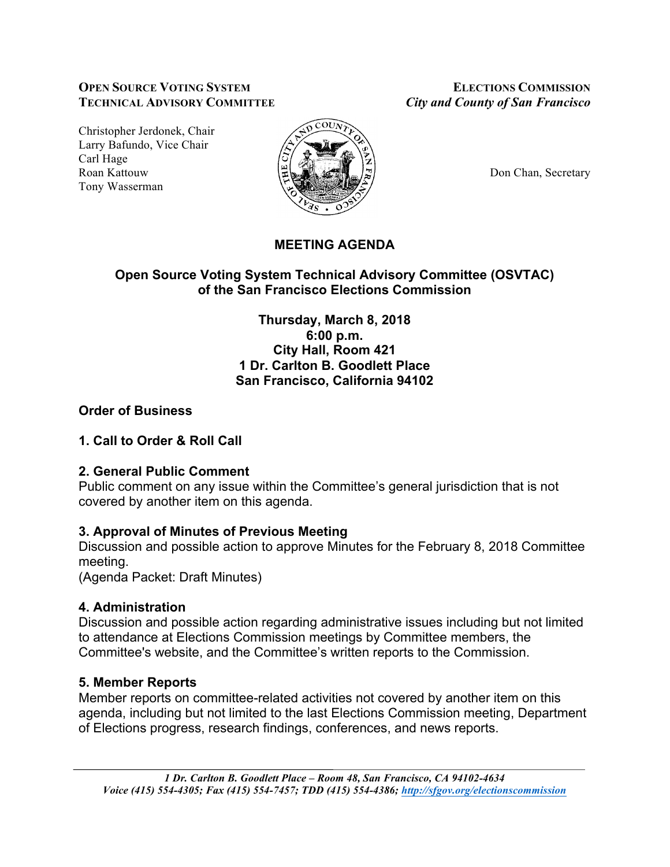#### **OPEN SOURCE VOTING SYSTEM ELECTIONS COMMISSION TECHNICAL ADVISORY COMMITTEE** *City and County of San Francisco*

Christopher Jerdonek, Chair Larry Bafundo, Vice Chair Carl Hage Roan Kattouw  $\Big|\frac{\mu}{\mu}\Big|_{\infty}$   $\Big|\frac{\mu}{\mu}\Big|_{\infty}$   $\Big|\frac{\mu}{\mu}\Big|_{\infty}$  Don Chan, Secretary Tony Wasserman



# **MEETING AGENDA**

## **Open Source Voting System Technical Advisory Committee (OSVTAC) of the San Francisco Elections Commission**

**Thursday, March 8, 2018 6:00 p.m. City Hall, Room 421 1 Dr. Carlton B. Goodlett Place San Francisco, California 94102**

### **Order of Business**

### **1. Call to Order & Roll Call**

### **2. General Public Comment**

Public comment on any issue within the Committee's general jurisdiction that is not covered by another item on this agenda.

### **3. Approval of Minutes of Previous Meeting**

Discussion and possible action to approve Minutes for the February 8, 2018 Committee meeting.

(Agenda Packet: Draft Minutes)

### **4. Administration**

Discussion and possible action regarding administrative issues including but not limited to attendance at Elections Commission meetings by Committee members, the Committee's website, and the Committee's written reports to the Commission.

### **5. Member Reports**

Member reports on committee-related activities not covered by another item on this agenda, including but not limited to the last Elections Commission meeting, Department of Elections progress, research findings, conferences, and news reports.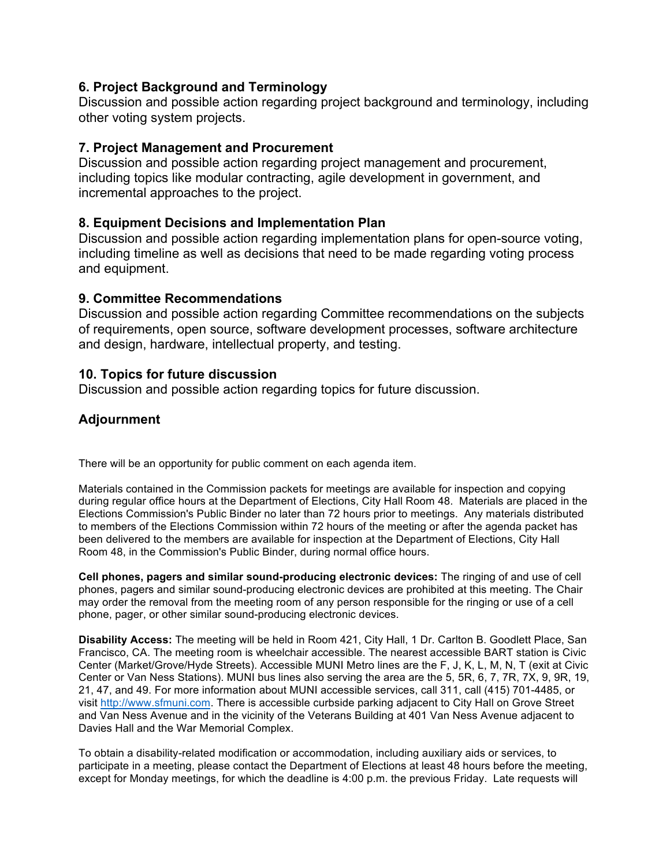#### **6. Project Background and Terminology**

Discussion and possible action regarding project background and terminology, including other voting system projects.

#### **7. Project Management and Procurement**

Discussion and possible action regarding project management and procurement, including topics like modular contracting, agile development in government, and incremental approaches to the project.

#### **8. Equipment Decisions and Implementation Plan**

Discussion and possible action regarding implementation plans for open-source voting, including timeline as well as decisions that need to be made regarding voting process and equipment.

#### **9. Committee Recommendations**

Discussion and possible action regarding Committee recommendations on the subjects of requirements, open source, software development processes, software architecture and design, hardware, intellectual property, and testing.

#### **10. Topics for future discussion**

Discussion and possible action regarding topics for future discussion.

#### **Adjournment**

There will be an opportunity for public comment on each agenda item.

Materials contained in the Commission packets for meetings are available for inspection and copying during regular office hours at the Department of Elections, City Hall Room 48. Materials are placed in the Elections Commission's Public Binder no later than 72 hours prior to meetings. Any materials distributed to members of the Elections Commission within 72 hours of the meeting or after the agenda packet has been delivered to the members are available for inspection at the Department of Elections, City Hall Room 48, in the Commission's Public Binder, during normal office hours.

**Cell phones, pagers and similar sound-producing electronic devices:** The ringing of and use of cell phones, pagers and similar sound-producing electronic devices are prohibited at this meeting. The Chair may order the removal from the meeting room of any person responsible for the ringing or use of a cell phone, pager, or other similar sound-producing electronic devices.

**Disability Access:** The meeting will be held in Room 421, City Hall, 1 Dr. Carlton B. Goodlett Place, San Francisco, CA. The meeting room is wheelchair accessible. The nearest accessible BART station is Civic Center (Market/Grove/Hyde Streets). Accessible MUNI Metro lines are the F, J, K, L, M, N, T (exit at Civic Center or Van Ness Stations). MUNI bus lines also serving the area are the 5, 5R, 6, 7, 7R, 7X, 9, 9R, 19, 21, 47, and 49. For more information about MUNI accessible services, call 311, call (415) 701-4485, or visit http://www.sfmuni.com. There is accessible curbside parking adjacent to City Hall on Grove Street and Van Ness Avenue and in the vicinity of the Veterans Building at 401 Van Ness Avenue adjacent to Davies Hall and the War Memorial Complex.

To obtain a disability-related modification or accommodation, including auxiliary aids or services, to participate in a meeting, please contact the Department of Elections at least 48 hours before the meeting, except for Monday meetings, for which the deadline is 4:00 p.m. the previous Friday. Late requests will